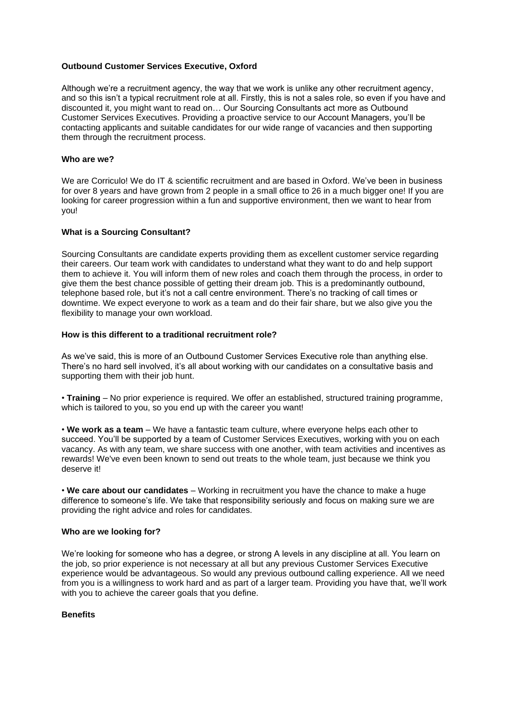## **Outbound Customer Services Executive, Oxford**

Although we're a recruitment agency, the way that we work is unlike any other recruitment agency, and so this isn't a typical recruitment role at all. Firstly, this is not a sales role, so even if you have and discounted it, you might want to read on… Our Sourcing Consultants act more as Outbound Customer Services Executives. Providing a proactive service to our Account Managers, you'll be contacting applicants and suitable candidates for our wide range of vacancies and then supporting them through the recruitment process.

### **Who are we?**

We are Corriculo! We do IT & scientific recruitment and are based in Oxford. We've been in business for over 8 years and have grown from 2 people in a small office to 26 in a much bigger one! If you are looking for career progression within a fun and supportive environment, then we want to hear from you!

## **What is a Sourcing Consultant?**

Sourcing Consultants are candidate experts providing them as excellent customer service regarding their careers. Our team work with candidates to understand what they want to do and help support them to achieve it. You will inform them of new roles and coach them through the process, in order to give them the best chance possible of getting their dream job. This is a predominantly outbound, telephone based role, but it's not a call centre environment. There's no tracking of call times or downtime. We expect everyone to work as a team and do their fair share, but we also give you the flexibility to manage your own workload.

## **How is this different to a traditional recruitment role?**

As we've said, this is more of an Outbound Customer Services Executive role than anything else. There's no hard sell involved, it's all about working with our candidates on a consultative basis and supporting them with their job hunt.

• **Training** – No prior experience is required. We offer an established, structured training programme, which is tailored to you, so you end up with the career you want!

• **We work as a team** – We have a fantastic team culture, where everyone helps each other to succeed. You'll be supported by a team of Customer Services Executives, working with you on each vacancy. As with any team, we share success with one another, with team activities and incentives as rewards! We've even been known to send out treats to the whole team, just because we think you deserve it!

• **We care about our candidates** – Working in recruitment you have the chance to make a huge difference to someone's life. We take that responsibility seriously and focus on making sure we are providing the right advice and roles for candidates.

#### **Who are we looking for?**

We're looking for someone who has a degree, or strong A levels in any discipline at all. You learn on the job, so prior experience is not necessary at all but any previous Customer Services Executive experience would be advantageous. So would any previous outbound calling experience. All we need from you is a willingness to work hard and as part of a larger team. Providing you have that, we'll work with you to achieve the career goals that you define.

## **Benefits**